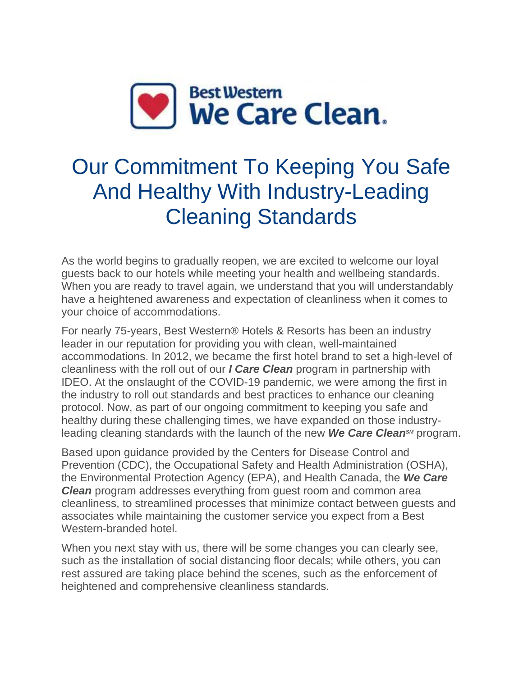

# Our Commitment To Keeping You Safe And Healthy With Industry-Leading Cleaning Standards

As the world begins to gradually reopen, we are excited to welcome our loyal guests back to our hotels while meeting your health and wellbeing standards. When you are ready to travel again, we understand that you will understandably have a heightened awareness and expectation of cleanliness when it comes to your choice of accommodations.

For nearly 75-years, Best Western® Hotels & Resorts has been an industry leader in our reputation for providing you with clean, well-maintained accommodations. In 2012, we became the first hotel brand to set a high-level of cleanliness with the roll out of our *I Care Clean* program in partnership with IDEO. At the onslaught of the COVID-19 pandemic, we were among the first in the industry to roll out standards and best practices to enhance our cleaning protocol. Now, as part of our ongoing commitment to keeping you safe and healthy during these challenging times, we have expanded on those industryleading cleaning standards with the launch of the new **We Care Clean**<sup>*SM*</sup> program.

Based upon guidance provided by the Centers for Disease Control and Prevention (CDC), the Occupational Safety and Health Administration (OSHA), the Environmental Protection Agency (EPA), and Health Canada, the *We Care Clean* program addresses everything from guest room and common area cleanliness, to streamlined processes that minimize contact between guests and associates while maintaining the customer service you expect from a Best Western-branded hotel.

When you next stay with us, there will be some changes you can clearly see, such as the installation of social distancing floor decals; while others, you can rest assured are taking place behind the scenes, such as the enforcement of heightened and comprehensive cleanliness standards.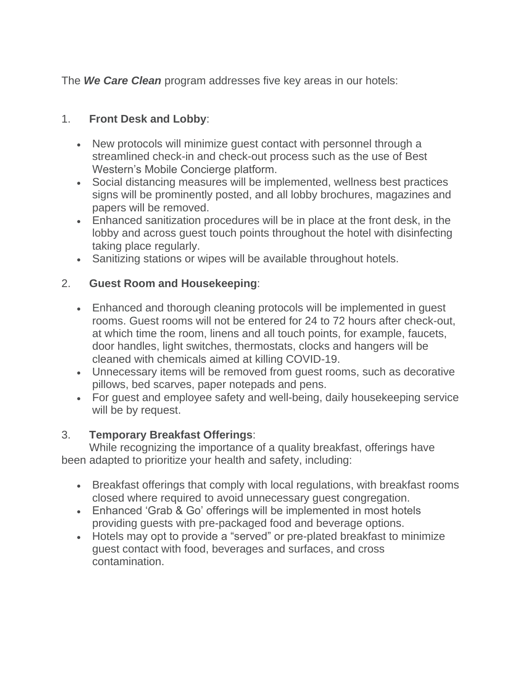The *We Care Clean* program addresses five key areas in our hotels:

# 1. **Front Desk and Lobby**:

- New protocols will minimize guest contact with personnel through a streamlined check-in and check-out process such as the use of Best Western's Mobile Concierge platform.
- Social distancing measures will be implemented, wellness best practices signs will be prominently posted, and all lobby brochures, magazines and papers will be removed.
- Enhanced sanitization procedures will be in place at the front desk, in the lobby and across guest touch points throughout the hotel with disinfecting taking place regularly.
- Sanitizing stations or wipes will be available throughout hotels.

## 2. **Guest Room and Housekeeping**:

- Enhanced and thorough cleaning protocols will be implemented in guest rooms. Guest rooms will not be entered for 24 to 72 hours after check-out, at which time the room, linens and all touch points, for example, faucets, door handles, light switches, thermostats, clocks and hangers will be cleaned with chemicals aimed at killing COVID-19.
- Unnecessary items will be removed from guest rooms, such as decorative pillows, bed scarves, paper notepads and pens.
- For guest and employee safety and well-being, daily housekeeping service will be by request.

## 3. **Temporary Breakfast Offerings**:

While recognizing the importance of a quality breakfast, offerings have been adapted to prioritize your health and safety, including:

- Breakfast offerings that comply with local regulations, with breakfast rooms closed where required to avoid unnecessary guest congregation.
- Enhanced 'Grab & Go' offerings will be implemented in most hotels providing guests with pre-packaged food and beverage options.
- Hotels may opt to provide a "served" or pre-plated breakfast to minimize guest contact with food, beverages and surfaces, and cross contamination.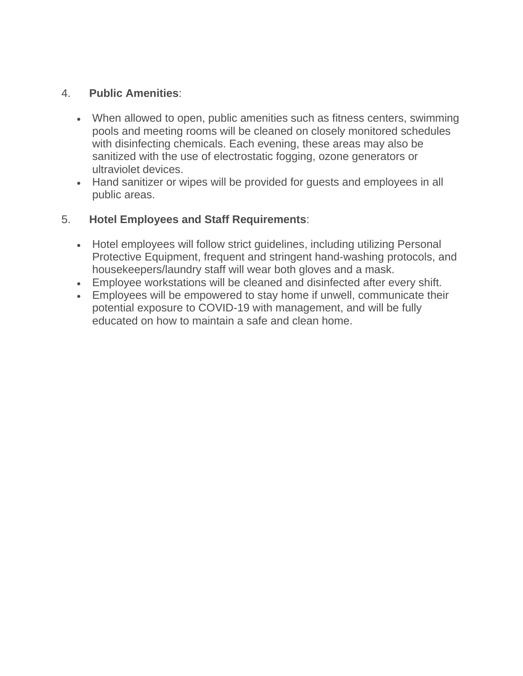#### 4. **Public Amenities**:

- When allowed to open, public amenities such as fitness centers, swimming pools and meeting rooms will be cleaned on closely monitored schedules with disinfecting chemicals. Each evening, these areas may also be sanitized with the use of electrostatic fogging, ozone generators or ultraviolet devices.
- Hand sanitizer or wipes will be provided for guests and employees in all public areas.

#### 5. **Hotel Employees and Staff Requirements**:

- Hotel employees will follow strict quidelines, including utilizing Personal Protective Equipment, frequent and stringent hand-washing protocols, and housekeepers/laundry staff will wear both gloves and a mask.
- Employee workstations will be cleaned and disinfected after every shift.
- Employees will be empowered to stay home if unwell, communicate their potential exposure to COVID-19 with management, and will be fully educated on how to maintain a safe and clean home.